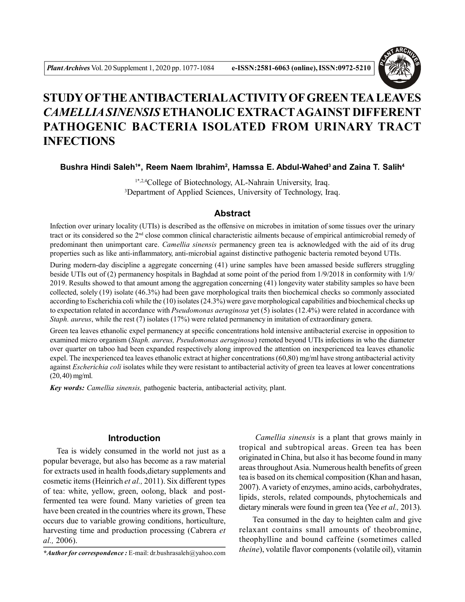

# **STUDY OFTHE ANTIBACTERIALACTIVITY OF GREEN TEA LEAVES** *CAMELLIA SINENSIS* **ETHANOLIC EXTRACTAGAINST DIFFERENT PATHOGENIC BACTERIA ISOLATED FROM URINARY TRACT INFECTIONS**

**Bushra Hindi Saleh<sup>1</sup> \*, Reem Naem Ibrahim<sup>2</sup> , Hamssa E. Abdul-Wahed<sup>3</sup>and Zaina T. Salih<sup>4</sup>**

1\*,2,4College of Biotechnology, AL-Nahrain University, Iraq. <sup>3</sup>Department of Applied Sciences, University of Technology, Iraq.

## **Abstract**

Infection over urinary locality (UTIs) is described as the offensive on microbes in imitation of some tissues over the urinary tract or its considered so the 2nd close common clinical characteristic ailments because of empirical antimicrobial remedy of predominant then unimportant care. *Camellia sinensis* permanency green tea is acknowledged with the aid of its drug properties such as like anti-inflammatory, anti-microbial against distinctive pathogenic bacteria remoted beyond UTIs.

During modern-day discipline a aggregate concerning (41) urine samples have been amassed beside sufferers struggling beside UTIs out of (2) permanency hospitals in Baghdad at some point of the period from 1/9/2018 in conformity with 1/9/ 2019. Results showed to that amount among the aggregation concerning (41) longevity water stability samples so have been collected, solely (19) isolate (46.3%) had been gave morphological traits then biochemical checks so commonly associated according to Escherichia coli while the (10) isolates (24.3%) were gave morphological capabilities and biochemical checks up to expectation related in accordance with *Pseudomonas aeruginosa* yet (5) isolates (12.4%) were related in accordance with *Staph. aureus*, while the rest (7) isolates (17%) were related permanency in imitation of extraordinary genera.

Green tea leaves ethanolic expel permanency at specific concentrations hold intensive antibacterial exercise in opposition to examined micro organism (*Staph. aureus, Pseudomonas aeruginosa*) remoted beyond UTIs infections in who the diameter over quarter on taboo had been expanded respectively along improved the attention on inexperienced tea leaves ethanolic expel. The inexperienced tea leaves ethanolic extract at higher concentrations (60,80) mg/ml have strong antibacterial activity against *Escherichia coli* isolates while they were resistant to antibacterial activity of green tea leaves at lower concentrations (20, 40) mg/ml.

*Key words: Camellia sinensis,* pathogenic bacteria, antibacterial activity, plant.

# **Introduction**

Tea is widely consumed in the world not just as a popular beverage, but also has become as a raw material for extracts used in health foods,dietary supplements and cosmetic items (Heinrich *et al.,* 2011). Six different types of tea: white, yellow, green, oolong, black and postfermented tea were found. Many varieties of green tea have been created in the countries where its grown, These occurs due to variable growing conditions, horticulture, harvesting time and production processing (Cabrera *et al.,* 2006).

*Camellia sinensis* is a plant that grows mainly in tropical and subtropical areas. Green tea has been originated in China, but also it has become found in many areas throughout Asia. Numerous health benefits of green tea is based on its chemical composition (Khan and hasan, 2007). A variety of enzymes, amino acids, carbohydrates, lipids, sterols, related compounds, phytochemicals and dietary minerals were found in green tea (Yee *et al.,* 2013).

Tea consumed in the day to heighten calm and give relaxant contains small amounts of theobromine, theophylline and bound caffeine (sometimes called *theine*), volatile flavor components (volatile oil), vitamin

*<sup>\*</sup>Author for correspondence :* E-mail: dr.bushrasaleh@yahoo.com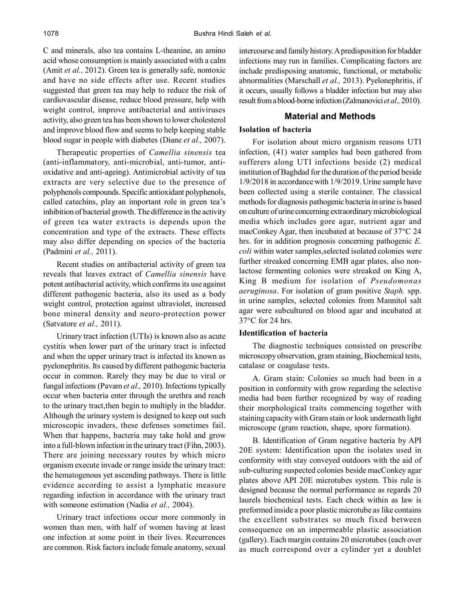C and minerals, also tea contains L-theanine, an amino acid whose consumption is mainly associated with a calm (Amit *et al.,* 2012). Green tea is generally safe, nontoxic and have no side effects after use. Recent studies suggested that green tea may help to reduce the risk of cardiovascular disease, reduce blood pressure, help with weight control, improve antibacterial and antiviruses activity, also green tea has been shown to lower cholesterol and improve blood flow and seems to help keeping stable blood sugar in people with diabetes (Diane *et al.,* 2007).

Therapeutic properties of *Camellia sinensis* tea (anti-inflammatory, anti-microbial, anti-tumor, antioxidative and anti-ageing). Antimicrobial activity of tea extracts are very selective due to the presence of polyphenols compounds. Specific antioxidant polyphenols, called catechins, play an important role in green tea's inhibition of bacterial growth. The difference in the activity of green tea water extracts is depends upon the concentration and type of the extracts. These effects may also differ depending on species of the bacteria (Padmini *et al.,* 2011).

Recent studies on antibacterial activity of green tea reveals that leaves extract of *Camellia sinensis* have potent antibacterial activity, which confirms its use against different pathogenic bacteria, also its used as a body weight control, protection against ultraviolet, increased bone mineral density and neuro-protection power (Satvatore *et al.,* 2011).

Urinary tract infection (UTIs) is known also as acute cystitis when lower part of the urinary tract is infected and when the upper urinary tract is infected its known as pyelonephritis. Its caused by different pathogenic bacteria occur in common. Rarely they may be due to viral or fungal infections (Pavam *et al.,* 2010). Infections typically occur when bacteria enter through the urethra and reach to the urinary tract,then begin to multiply in the bladder. Although the urinary system is designed to keep out such microscopic invaders, these defenses sometimes fail. When that happens, bacteria may take hold and grow into a full-blown infection in the urinary tract (Fihn, 2003). There are joining necessary routes by which micro organism execute invade or range inside the urinary tract: the hematogenous yet ascending pathways. There is little evidence according to assist a lymphatic measure regarding infection in accordance with the urinary tract with someone estimation (Nadia *et al.,* 2004).

Urinary tract infections occur more commonly in women than men, with half of women having at least one infection at some point in their lives. Recurrences are common. Risk factors include female anatomy, sexual intercourse and family history.A predisposition for bladder infections may run in families. Complicating factors are include predisposing anatomic, functional, or metabolic abnormalities (Marschall *et al.,* 2013). Pyelonephritis, if it occurs, usually follows a bladder infection but may also result from a blood-borne infection (Zalmanovici *et al.,* 2010).

# **Material and Methods**

## **Isolation of bacteria**

For isolation about micro organism reasons UTI infection, (41) water samples had been gathered from sufferers along UTI infections beside (2) medical institution of Baghdad for the duration of the period beside 1/9/2018 in accordance with 1/9/2019. Urine sample have been collected using a sterile container. The classical methods for diagnosis pathogenic bacteria in urine is based on culture of urine concerning extraordinary microbiological media which includes gore agar, nutrient agar and macConkey Agar, then incubated at because of 37°C 24 hrs. for in addition prognosis concerning pathogenic *E. coli* within water samples,selected isolated colonies were further streaked concerning EMB agar plates, also nonlactose fermenting colonies were streaked on King A, King B medium for isolation of *Pseudomonas aeruginosa*. For isolation of gram positive *Staph.* spp. in urine samples, selected colonies from Mannitol salt agar were subcultured on blood agar and incubated at 37°C for 24 hrs.

## **Identification of bacteria**

The diagnostic techniques consisted on prescribe microscopy observation, gram staining, Biochemical tests, catalase or coagulase tests.

A. Gram stain: Colonies so much had been in a position in conformity with grow regarding the selective media had been further recognized by way of reading their morphological traits commencing together with staining capacity with Gram stain or look underneath light microscope (gram reaction, shape, spore formation).

B. Identification of Gram negative bacteria by API 20E system: Identification upon the isolates used in conformity with stay conveyed outdoors with the aid of sub-culturing suspected colonies beside macConkey agar plates above API 20E microtubes system. This rule is designed because the normal performance as regards 20 laurels biochemical tests. Each check within as law is preformed inside a poor plastic microtube as like contains the excellent substrates so much fixed between consequence on an impermeable plastic association (gallery). Each margin contains 20 microtubes (each over as much correspond over a cylinder yet a doublet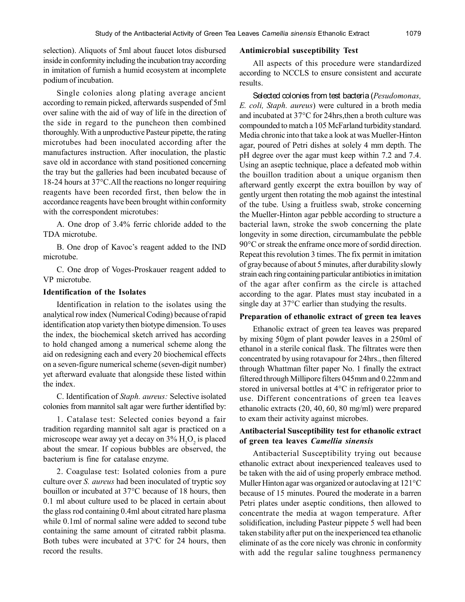selection). Aliquots of 5ml about faucet lotos disbursed inside in conformity including the incubation tray according in imitation of furnish a humid ecosystem at incomplete podium of incubation.

Single colonies along plating average ancient according to remain picked, afterwards suspended of 5ml over saline with the aid of way of life in the direction of the side in regard to the puncheon then combined thoroughly. With a unproductive Pasteur pipette, the rating microtubes had been inoculated according after the manufactures instruction. After inoculation, the plastic save old in accordance with stand positioned concerning the tray but the galleries had been incubated because of 18-24 hours at 37°C.All the reactions no longer requiring reagents have been recorded first, then below the in accordance reagents have been brought within conformity with the correspondent microtubes:

A. One drop of 3.4% ferric chloride added to the TDA microtube.

B. One drop of Kavoc's reagent added to the IND microtube.

C. One drop of Voges-Proskauer reagent added to VP microtube.

## **Identification of the Isolates**

Identification in relation to the isolates using the analytical row index (Numerical Coding) because of rapid identification atop variety then biotype dimension. To uses the index, the biochemical sketch arrived has according to hold changed among a numerical scheme along the aid on redesigning each and every 20 biochemical effects on a seven-figure numerical scheme (seven-digit number) yet afterward evaluate that alongside these listed within the index.

C. Identification of *Staph. aureus:* Selective isolated colonies from mannitol salt agar were further identified by:

1. Catalase test: Selected conies beyond a fair tradition regarding mannitol salt agar is practiced on a microscope wear away yet a decay on  $3\%$   $H_2O_2$  is placed about the smear. If copious bubbles are observed, the bacterium is fine for catalase enzyme.

2. Coagulase test: Isolated colonies from a pure culture over *S. aureus* had been inoculated of tryptic soy bouillon or incubated at 37°C because of 18 hours, then 0.1 ml about culture used to be placed in certain about the glass rod containing 0.4ml about citrated hare plasma while 0.1ml of normal saline were added to second tube containing the same amount of citrated rabbit plasma. Both tubes were incubated at  $37^{\circ}$ C for 24 hours, then record the results.

#### **Antimicrobial susceptibility Test**

All aspects of this procedure were standardized according to NCCLS to ensure consistent and accurate results.

Selected colonies from test bacteria (*Pesudomonas, E. coli, Staph. aureus*) were cultured in a broth media and incubated at 37°C for 24hrs,then a broth culture was compounded to match a 105 McFarland turbidity standard. Media chronic into that take a look at was Mueller-Hinton agar, poured of Petri dishes at solely 4 mm depth. The pH degree over the agar must keep within 7.2 and 7.4. Using an aseptic technique, place a defeated mob within the bouillon tradition about a unique organism then afterward gently excerpt the extra bouillon by way of gently urgent then rotating the mob against the intestinal of the tube. Using a fruitless swab, stroke concerning the Mueller-Hinton agar pebble according to structure a bacterial lawn, stroke the swob concerning the plate longevity in some direction, circumambulate the pebble 90°C or streak the enframe once more of sordid direction. Repeat this revolution 3 times. The fix permit in imitation of gray because of about 5 minutes, after durability slowly strain each ring containing particular antibiotics in imitation of the agar after confirm as the circle is attached according to the agar. Plates must stay incubated in a single day at 37°C earlier than studying the results.

#### **Preparation of ethanolic extract of green tea leaves**

Ethanolic extract of green tea leaves was prepared by mixing 50gm of plant powder leaves in a 250ml of ethanol in a sterile conical flask. The filtrates were then concentrated by using rotavapour for 24hrs., then filtered through Whattman filter paper No. 1 finally the extract filtered through Millipore filters 045mm and 0.22mm and stored in universal bottles at 4°C in refrigerator prior to use. Different concentrations of green tea leaves ethanolic extracts (20, 40, 60, 80 mg/ml) were prepared to exam their activity against microbes.

## **Antibacterial Susceptibility test for ethanolic extract of green tea leaves** *Camellia sinensis*

Antibacterial Susceptibility trying out because ethanolic extract about inexperienced tealeaves used to be taken with the aid of using properly embrace method. Muller Hinton agar was organized or autoclaving at 121°C because of 15 minutes. Poured the moderate in a barren Petri plates under aseptic conditions, then allowed to concentrate the media at wagon temperature. After solidification, including Pasteur pippete 5 well had been taken stability after put on the inexperienced tea ethanolic eliminate of as the core nicely was chronic in conformity with add the regular saline toughness permanency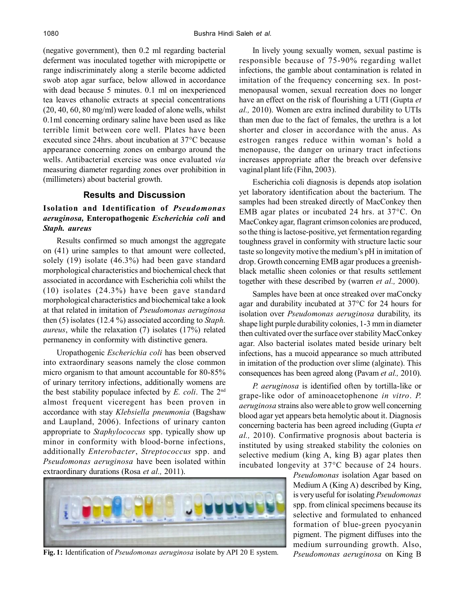(negative government), then 0.2 ml regarding bacterial deferment was inoculated together with micropipette or range indiscriminately along a sterile become addicted swob atop agar surface, below allowed in accordance with dead because 5 minutes. 0.1 ml on inexperienced tea leaves ethanolic extracts at special concentrations (20, 40, 60, 80 mg/ml) were loaded of alone wells, whilst 0.1ml concerning ordinary saline have been used as like terrible limit between core well. Plates have been executed since 24hrs. about incubation at 37°C because appearance concerning zones on embargo around the wells. Antibacterial exercise was once evaluated *via* measuring diameter regarding zones over prohibition in (millimeters) about bacterial growth.

## **Results and Discussion**

# **Isolation and Identification of** *Pseudomonas aeruginosa,* **Enteropathogenic** *Escherichia coli* **and** *Staph. aureus*

Results confirmed so much amongst the aggregate on (41) urine samples to that amount were collected, solely (19) isolate (46.3%) had been gave standard morphological characteristics and biochemical check that associated in accordance with Escherichia coli whilst the (10) isolates (24.3%) have been gave standard morphological characteristics and biochemical take a look at that related in imitation of *Pseudomonas aeruginosa* then (5) isolates (12.4 %) associated according to *Staph. aureus*, while the relaxation (7) isolates (17%) related permanency in conformity with distinctive genera.

Uropathogenic *Escherichia coli* has been observed into extraordinary seasons namely the close common micro organism to that amount accountable for 80-85% of urinary territory infections, additionally womens are the best stability populace infected by *E. coli*. The 2nd almost frequent viceregent has been proven in accordance with stay *Klebsiella pneumonia* (Bagshaw and Laupland, 2006). Infections of urinary canton appropriate to *Staphylococcus* spp. typically show up minor in conformity with blood-borne infections, additionally *Enterobacter*, *Streptococcus* spp. and *Pseudomonas aeruginosa* have been isolated within extraordinary durations (Rosa *et al.,* 2011).



**Fig. 1:** Identification of *Pseudomonas aeruginosa* isolate by API 20 E system.

In lively young sexually women, sexual pastime is responsible because of 75-90% regarding wallet infections, the gamble about contamination is related in imitation of the frequency concerning sex. In postmenopausal women, sexual recreation does no longer have an effect on the risk of flourishing a UTI (Gupta *et al.,* 2010). Women are extra inclined durability to UTIs than men due to the fact of females, the urethra is a lot shorter and closer in accordance with the anus. As estrogen ranges reduce within woman's hold a menopause, the danger on urinary tract infections increases appropriate after the breach over defensive vaginal plant life (Fihn, 2003).

Escherichia coli diagnosis is depends atop isolation yet laboratory identification about the bacterium. The samples had been streaked directly of MacConkey then EMB agar plates or incubated 24 hrs. at 37°C. On MacConkey agar, flagrant crimson colonies are produced, so the thing is lactose-positive, yet fermentation regarding toughness gravel in conformity with structure lactic sour taste so longevity motive the medium's pH in imitation of drop. Growth concerning EMB agar produces a greenishblack metallic sheen colonies or that results settlement together with these described by (warren *et al.,* 2000).

Samples have been at once streaked over maConcky agar and durability incubated at 37°C for 24 hours for isolation over *Pseudomonas aeruginosa* durability, its shape light purple durability colonies, 1-3 mm in diameter then cultivated over the surface over stability MacConkey agar. Also bacterial isolates mated beside urinary belt infections, has a mucoid appearance so much attributed in imitation of the production over slime (alginate). This consequences has been agreed along (Pavam *et al.,* 2010).

*P. aeruginosa* is identified often by tortilla-like or grape-like odor of aminoacetophenone *in vitro*. *P. aeruginosa* strains also were able to grow well concerning blood agar yet appears beta hemolytic about it. Diagnosis concerning bacteria has been agreed including (Gupta *et al.,* 2010). Confirmative prognosis about bacteria is instituted by using streaked stability the colonies on selective medium (king A, king B) agar plates then incubated longevity at 37°C because of 24 hours.

> *Pseudomonas* isolation Agar based on Medium A (King A) described by King, is very useful for isolating *Pseudomonas* spp. from clinical specimens because its selective and formulated to enhanced formation of blue-green pyocyanin pigment. The pigment diffuses into the medium surrounding growth. Also, *Pseudomonas aeruginosa* on King B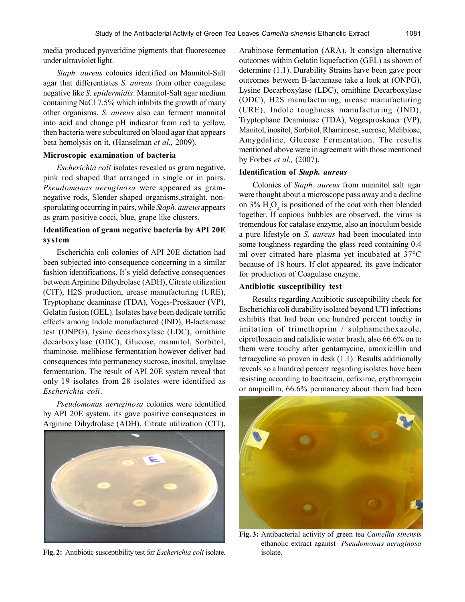media produced pyoveridine pigments that fluorescence under ultraviolet light.

*Staph. aureus* colonies identified on Mannitol-Salt agar that differentiates *S. aureus* from other coagulase negative like *S. epidermidis*. Mannitol-Salt agar medium containing NaCl 7.5% which inhibits the growth of many other organisms. *S. aureus* also can ferment mannitol into acid and change pH indicator from red to yellow, then bacteria were subcultured on blood agar that appears beta hemolysis on it, (Hanselman *et al.,* 2009).

#### **Microscopic examination of bacteria**

*Escherichia coli* isolates revealed as gram negative, pink rod shaped that arranged in single or in pairs. *Pseudomonas aeruginosa* were appeared as gramnegative rods, Slender shaped organisms,straight, nonsporulating occurring in pairs, while *Staph. aureus* appears as gram positive cocci, blue, grape like clusters.

# **Identification of gram negative bacteria by API 20E system**

Escherichia coli colonies of API 20E dictation had been subjected into consequence concerning in a similar fashion identifications. It's yield defective consequences between Arginine Dihydrolase (ADH), Citrate utilization (CIT), H2S production, urease manufacturing (URE), Tryptophane deaminase (TDA), Voges-Proskauer (VP), Gelatin fusion (GEL). Isolates have been dedicate terrific effects among Indole manufactured (IND), B-lactamase test (ONPG), lysine decarboxylase (LDC), ornithine decarboxylase (ODC), Glucose, mannitol, Sorbitol, rhaminose, melibiose fermentation however deliver bad consequences into permanency sucrose, inositol, amylase fermentation. The result of API 20E system reveal that only 19 isolates from 28 isolates were identified as *Escherichia coli*.

*Pseudomonas aeruginosa* colonies were identified by API 20E system. its gave positive consequences in Arginine Dihydrolase (ADH), Citrate utilization (CIT),



**Fig. 2:** Antibiotic susceptibility test for *Escherichia coli* isolate.

Arabinose fermentation (ARA). It consign alternative outcomes within Gelatin liquefaction (GEL) as shown of determine (1.1). Durability Strains have been gave poor outcomes between B-lactamase take a look at (ONPG), Lysine Decarboxylase (LDC), ornithine Decarboxylase (ODC), H2S manufacturing, urease manufacturing (URE), Indole toughness manufacturing (IND), Tryptophane Deaminase (TDA), Vogesproskauer (VP), Manitol, inositol, Sorbitol, Rhaminose, sucrose, Melibiose, Amygdaline, Glucose Fermentation. The results mentioned above were in agreement with those mentioned by Forbes *et al.,* (2007).

#### **Identification of** *Staph. aureus*

Colonies of *Staph. aureus* from mannitol salt agar were thought about a microscope pass away and a decline on 3%  $H_2O_2$  is positioned of the coat with then blended together. If copious bubbles are observed, the virus is tremendous for catalase enzyme, also an inoculum beside a pure lifestyle on *S. aureus* had been inoculated into some toughness regarding the glass reed containing 0.4 ml over citrated hare plasma yet incubated at 37°C because of 18 hours. If clot appeared, its gave indicator for production of Coagulase enzyme.

#### **Antibiotic susceptibility test**

Results regarding Antibiotic susceptibility check for Escherichia coli durability isolated beyond UTI infections exhibits that had been one hundred percent touchy in imitation of trimethoprim / sulphamethoxazole, ciprofloxacin and nalidixic water brash, also 66.6% on to them were touchy after gentamycine, amoxicillin and tetracycline so proven in desk (1.1). Results additionally reveals so a hundred percent regarding isolates have been resisting according to bacitracin, cefixime, erythromycin or ampicillin, 66.6% permanency about them had been



**Fig. 3:** Antibacterial activity of green tea *Camellia sinensis* ethanolic extract against *Pseudomonas aeruginosa* isolate.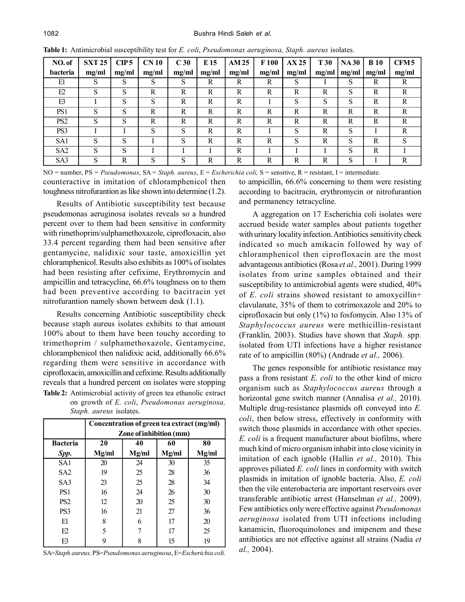| NO.of           | <b>SXT 25</b> | CIP <sub>5</sub> | CN <sub>10</sub> | C <sub>30</sub> | E 15  | <b>AM 25</b> | F <sub>100</sub> | AX 25 | T <sub>30</sub> | <b>NA30</b> | <b>B</b> 10 | CFM <sub>5</sub> |
|-----------------|---------------|------------------|------------------|-----------------|-------|--------------|------------------|-------|-----------------|-------------|-------------|------------------|
| bacteria        | mg/ml         | mg/ml            | mg/ml            | mg/ml           | mg/ml | mg/ml        | mg/ml            | mg/ml | mg/ml           | mg/ml       | mg/ml       | mg/ml            |
| El              | S             | S                | S                | S               | R     | R            | R                | S     |                 | S           | R           | R                |
| E2              | S             | S                | R                | R               | R     | R            | R                | R     | R               | S           | R           | R                |
| E3              |               | S                | S                | $\mathbb{R}$    | R     | R            |                  | S     | S               | S           | R           | R                |
| PS1             | S             | S                | R                | R               | R     | R            | R                | R     | R               | R           | R           | R                |
| PS <sub>2</sub> | S             | S                | $\mathbb{R}$     | R               | R     | R            | R                | R     | R               | R           | R           | R                |
| PS3             |               |                  | S                | S               | R     | R            |                  | S     | R               | S           |             | R                |
| SA1             | S             | S                |                  | S               | R     | R            | R                | S     | R               | S           | R           | S                |
| SA2             | S             | S                |                  |                 |       | R            |                  |       |                 | S           | R           |                  |
| SA <sub>3</sub> | S             | R                | S                | S               | R     | R            | R                | R     | R               | S           |             | R                |

**Table 1:** Antimicrobial susceptibility test for *E. coli*, *Pseudomonas aeruginosa, Staph. aureus* isolates.

counteractive in imitation of chloramphenicol then NO = number, PS *= Pseudomonas*, SA = *Staph. aureus*, E = *Escherichia coli,* S = sensitive, R = resistant, I = intermediate.

toughness nitrofurantion as like shown into determine (1.2).

Results of Antibiotic susceptibility test because pseudomonas aeruginosa isolates reveals so a hundred percent over to them had been sensitive in conformity with rimethoprim/sulphamethoxazole, ciprofloxacin, also 33.4 percent regarding them had been sensitive after gentamycine, nalidixic sour taste, amoxicillin yet chloramphenicol. Results also exhibits as 100% of isolates had been resisting after cefixime, Erythromycin and ampicillin and tetracycline, 66.6% toughness on to them had been preventive according to bacitracin yet nitrofurantion namely shown between desk (1.1).

Results concerning Antibiotic susceptibility check because staph aureus isolates exhibits to that amount 100% about to them have been touchy according to trimethoprim / sulphamethoxazole, Gentamycine, chloramphenicol then nalidixic acid, additionally 66.6% regarding them were sensitive in accordance with ciprofloxacin, amoxicillin and cefixime. Results additionally reveals that a hundred percent on isolates were stopping **Table 2:** Antimicrobial activity of green tea ethanolic extract on growth of *E. coli*, *Pseudomonas aeruginosa, Staph. aureus* isolates.

|                 | Concentration of green tea extract (mg/ml) |       |       |       |  |  |  |  |  |  |
|-----------------|--------------------------------------------|-------|-------|-------|--|--|--|--|--|--|
|                 | Zone of inhibition (mm)                    |       |       |       |  |  |  |  |  |  |
| <b>Bacteria</b> | 20                                         | 40    | 60    | 80    |  |  |  |  |  |  |
| Spp.            | Mg/ml                                      | Mg/ml | Mg/ml | Mg/ml |  |  |  |  |  |  |
| SA <sub>1</sub> | 20                                         | 24    | 30    | 35    |  |  |  |  |  |  |
| SA <sub>2</sub> | 19                                         | 25    | 28    | 36    |  |  |  |  |  |  |
| SA <sub>3</sub> | 23                                         | 25    | 28    | 34    |  |  |  |  |  |  |
| PS <sub>1</sub> | 16                                         | 24    | 26    | 30    |  |  |  |  |  |  |
| PS <sub>2</sub> | 12                                         | 20    | 25    | 30    |  |  |  |  |  |  |
| PS3             | 16                                         | 21    | 27    | 36    |  |  |  |  |  |  |
| E1              | 8                                          | 6     | 17    | 20    |  |  |  |  |  |  |
| E2              | 5                                          |       | 17    | 25    |  |  |  |  |  |  |
| F3              |                                            | 8     | 15    | 19    |  |  |  |  |  |  |

SA=*Staph aureus,* PS=*Pseudomonas aeruginosa*, E=*Escherichia coli.*

to ampicillin, 66.6% concerning to them were resisting according to bacitracin, erythromycin or nitrofurantion and permanency tetracycline.

A aggregation on 17 Escherichia coli isolates were accrued beside water samples about patients together with urinary locality infection. Antibiotics sensitivity check indicated so much amikacin followed by way of chloramphenicol then ciprofloxacin are the most advantageous antibiotics (Rosa *et al.,* 2001). During 1999 isolates from urine samples obtained and their susceptibility to antimicrobial agents were studied, 40% of *E*. *coli* strains showed resistant to amoxycillin+ clavulanate, 35% of them to cotrimoxazole and 20% to ciprofloxacin but only (1%) to fosfomycin. Also 13% of *Staphylococcus aureus* were methicillin-resistant (Franklin*,* 2003). Studies have shown that *Staph.* spp*.* isolated from UTI infections have a higher resistance rate of to ampicillin (80%) (Andrade *et al.,* 2006).

The genes responsible for antibiotic resistance may pass a from resistant *E. coli* to the other kind of micro organism such as *Staphylococcus aureus* through a horizontal gene switch manner (Annalisa *et al.,* 2010). Multiple drug-resistance plasmids oft conveyed into *E. coli*, then below stress, effectively in conformity with switch those plasmids in accordance with other species. *E. coli* is a frequent manufacturer about biofilms, where much kind of micro organism inhabit into close vicinity in imitation of each ignoble (Hallin *et al.,* 2010). This approves piliated *E. coli* lines in conformity with switch plasmids in imitation of ignoble bacteria. Also, *E. coli* then the vile enterobacteria are important reservoirs over transferable antibiotic arrest (Hanselman *et al.,* 2009). Few antibiotics only were effective against *Pseudomonas aeruginosa* isolated from UTI infections including kanamicin, fluoroquinolones and imipenem and these antibiotics are not effective against all strains (Nadia *et al.,* 2004).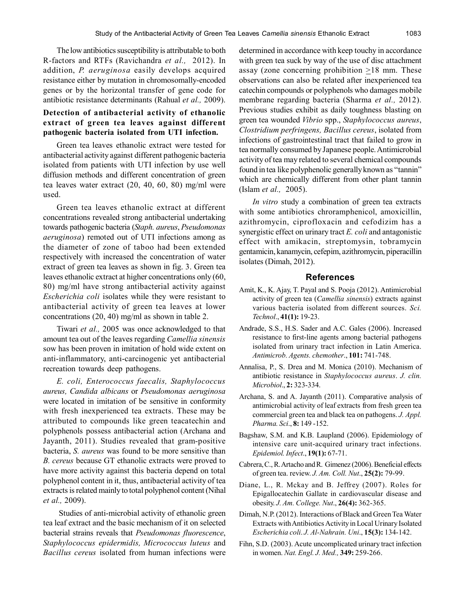The low antibiotics susceptibility is attributable to both R-factors and RTFs (Ravichandra *et al.,* 2012). In addition, *P. aeruginosa* easily develops acquired resistance either by mutation in chromosomally-encoded genes or by the horizontal transfer of gene code for antibiotic resistance determinants (Rahual *et al.,* 2009).

# **Detection of antibacterial activity of ethanolic extract of green tea leaves against different pathogenic bacteria isolated from UTI infection.**

Green tea leaves ethanolic extract were tested for antibacterial activity against different pathogenic bacteria isolated from patients with UTI infection by use well diffusion methods and different concentration of green tea leaves water extract (20, 40, 60, 80) mg/ml were used.

Green tea leaves ethanolic extract at different concentrations revealed strong antibacterial undertaking towards pathogenic bacteria (*Staph. aureus*, *Pseudomonas aeruginosa*) remoted out of UTI infections among as the diameter of zone of taboo had been extended respectively with increased the concentration of water extract of green tea leaves as shown in fig. 3. Green tea leaves ethanolic extract at higher concentrations only (60, 80) mg/ml have strong antibacterial activity against *Escherichia coli* isolates while they were resistant to antibacterial activity of green tea leaves at lower concentrations (20, 40) mg/ml as shown in table 2.

Tiwari *et al.,* 2005 was once acknowledged to that amount tea out of the leaves regarding *Camellia sinensis* sow has been proven in imitation of hold wide extent on anti-inflammatory, anti-carcinogenic yet antibacterial recreation towards deep pathogens.

*E. coli, Enterococcus faecalis, Staphylococcus aureus, Candida albicans* or *Pseudomonas aeruginosa* were located in imitation of be sensitive in conformity with fresh inexperienced tea extracts. These may be attributed to compounds like green teacatechin and polyphenols possess antibacterial action (Archana and Jayanth, 2011). Studies revealed that gram-positive bacteria, *S. aureus* was found to be more sensitive than *B. cereus* because GT ethanolic extracts were proved to have more activity against this bacteria depend on total polyphenol content in it, thus, antibacterial activity of tea extracts is related mainly to total polyphenol content (Nihal *et al.,* 2009).

 Studies of anti-microbial activity of ethanolic green tea leaf extract and the basic mechanism of it on selected bacterial strains reveals that *Pseudomonas fluorescence*, *Staphylococcus epidermidis, Micrococcus luteus* and *Bacillus cereus* isolated from human infections were

determined in accordance with keep touchy in accordance with green tea suck by way of the use of disc attachment assay (zone concerning prohibition  $\geq 18$  mm. These observations can also be related after inexperienced tea catechin compounds or polyphenols who damages mobile membrane regarding bacteria (Sharma *et al.,* 2012). Previous studies exhibit as daily toughness blasting on green tea wounded *Vibrio* spp., *Staphylococcus aureus*, *Clostridium perfringens, Bacillus cereus*, isolated from infections of gastrointestinal tract that failed to grow in tea normally consumed by Japanese people. Antimicrobial activity of tea may related to several chemical compounds found in tea like polyphenolic generally known as "tannin" which are chemically different from other plant tannin (Islam *et al.,* 2005).

*In vitro* study a combination of green tea extracts with some antibiotics chroramphenicol, amoxicillin, azithromycin, ciprofloxacin and cefodizim has a synergistic effect on urinary tract *E. coli* and antagonistic effect with amikacin, streptomysin, tobramycin gentamicin, kanamycin, cefepim, azithromycin, piperacillin isolates (Dimah, 2012).

# **References**

- Amit, K., K. Ajay, T. Payal and S. Pooja (2012). Antimicrobial activity of green tea (*Camellia sinensis*) extracts against various bacteria isolated from different sources. *Sci. Technol*., **41(1):** 19-23.
- Andrade, S.S., H.S. Sader and A.C. Gales (2006). Increased resistance to first-line agents among bacterial pathogens isolated from urinary tract infection in Latin America. *Antimicrob. Agents. chemother*., **101:** 741-748.
- Annalisa, P., S. Drea and M. Monica (2010). Mechanism of antibiotic resistance in *Staphylococcus aureus*. *J. clin. Microbiol*., **2:** 323-334.
- Archana, S. and A. Jayanth (2011). Comparative analysis of antimicrobial activity of leaf extracts from fresh green tea commercial green tea and black tea on pathogens. *J. Appl. Pharma. Sci*., **8:** 149 -152.
- Bagshaw, S.M. and K.B. Laupland (2006). Epidemiology of intensive care unit-acquired urinary tract infections. *Epidemiol. Infect*., **19(1):** 67-71.
- Cabrera, C., R. Artacho and R. Gimenez (2006). Beneficial effects of green tea. review. *J. Am. Coll. Nut*., **25(2):** 79-99.
- Diane, L., R. Mckay and B. Jeffrey (2007). Roles for Epigallocatechin Gallate in cardiovascular disease and obesity. *J. Am. College. Nut*., **26(4):** 362-365.
- Dimah, N.P. (2012). Interactions of Black and Green Tea Water Extracts with Antibiotics Activity in Local Urinary Isolated *Escherichia coli*. *J. Al-Nahrain. Uni*., **15(3):** 134-142.
- Fihn, S.D. (2003). Acute uncomplicated urinary tract infection in women. *Nat. Engl. J. Med.,* **349:** 259-266.